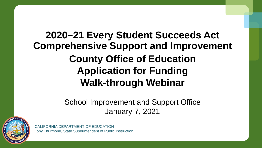#### **2020–21 Every Student Succeeds Act Comprehensive Support and Improvement County Office of Education Application for Funding Walk-through Webinar**

School Improvement and Support Office January 7, 2021



CALIFORNIA DEPARTMENT OF EDUCATION Tony Thurmond, State Superintendent of Public Instruction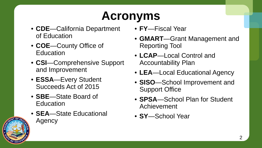# **Acronyms**

- **CDE**—California Department of Education
- **COE**—County Office of **Education**
- **CSI**—Comprehensive Support and Improvement
- **ESSA**—Every Student Succeeds Act of 2015
- **SBE**—State Board of **Education**
- **SEA**—State Educational Agency
- **FY**—Fiscal Year
- **GMART**—Grant Management and Reporting Tool
- **LCAP**—Local Control and Accountability Plan
- **LEA**—Local Educational Agency
- **SISO**—School Improvement and Support Office
- **SPSA**—School Plan for Student Achievement
- **SY**—School Year

2

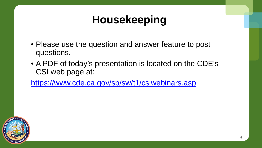### **Housekeeping**

- Please use the question and answer feature to post questions.
- A PDF of today's presentation is located on the CDE's CSI web page at:

<https://www.cde.ca.gov/sp/sw/t1/csiwebinars.asp>

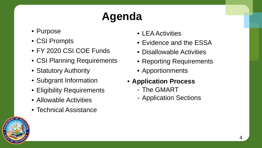# **Agenda**

- Purpose
- CSI Prompts
- FY 2020 CSI COE Funds
- CSI Planning Requirements
- Statutory Authority
- Subgrant Information
- Eligibility Requirements
- Allowable Activities
- Technical Assistance
- LEA Activities
- Evidence and the ESSA
- Disallowable Activities
- Reporting Requirements
- Apportionments
- **Application Process**
	- The GMART
	- Application Sections

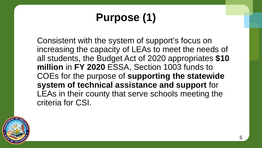### **Purpose (1)**

Consistent with the system of support's focus on increasing the capacity of LEAs to meet the needs of all students, the Budget Act of 2020 appropriates **\$10 million** in **FY 2020** ESSA, Section 1003 funds to COEs for the purpose of **supporting the statewide system of technical assistance and support** for LEAs in their county that serve schools meeting the criteria for CSI.

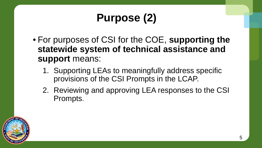### **Purpose (2)**

- For purposes of CSI for the COE, **supporting the statewide system of technical assistance and support** means:
	- 1. Supporting LEAs to meaningfully address specific provisions of the CSI Prompts in the LCAP.
	- 2. Reviewing and approving LEA responses to the CSI Prompts.

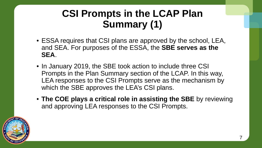#### **CSI Prompts in the LCAP Plan Summary (1)**

- ESSA requires that CSI plans are approved by the school, LEA, and SEA. For purposes of the ESSA, the **SBE serves as the SEA**.
- In January 2019, the SBE took action to include three CSI Prompts in the Plan Summary section of the LCAP. In this way, LEA responses to the CSI Prompts serve as the mechanism by which the SBE approves the LEA's CSI plans.
- **The COE plays a critical role in assisting the SBE** by reviewing and approving LEA responses to the CSI Prompts.

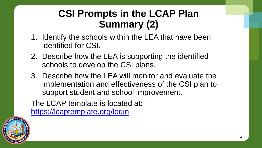#### **CSI Prompts in the LCAP Plan Summary (2)**

- 1. Identify the schools within the LEA that have been identified for CSI.
- 2. Describe how the LEA is supporting the identified schools to develop the CSI plans.
- 3. Describe how the LEA will monitor and evaluate the implementation and effectiveness of the CSI plan to support student and school improvement.

The LCAP template is located at:

<https://lcaptemplate.org/login>

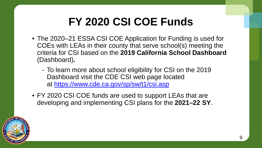### **FY 2020 CSI COE Funds**

- The 2020–21 ESSA CSI COE Application for Funding is used for COEs with LEAs in their county that serve school(s) meeting the criteria for CSI based on the **2019 California School Dashboard** (Dashboard)**.**
	- To learn more about school eligibility for CSI on the 2019 Dashboard visit the CDE CSI web page located at <https://www.cde.ca.gov/sp/sw/t1/csi.asp>
- FY 2020 CSI COE funds are used to support LEAs that are developing and implementing CSI plans for the **2021–22 SY**.

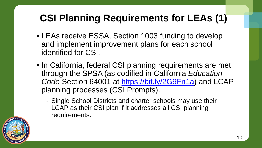#### **CSI Planning Requirements for LEAs (1)**

- LEAs receive ESSA, Section 1003 funding to develop and implement improvement plans for each school identified for CSI.
- In California, federal CSI planning requirements are met through the SPSA (as codified in California *Education Code* Section 64001 at [https://bit.ly/2G9Fn1a\)](https://bit.ly/2G9Fn1a) and LCAP planning processes (CSI Prompts).
	- Single School Districts and charter schools may use their LCAP as their CSI plan if it addresses all CSI planning requirements.

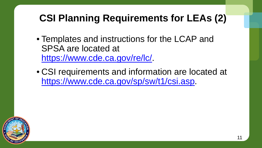#### **CSI Planning Requirements for LEAs (2)**

- Templates and instructions for the LCAP and SPSA are located at <https://www.cde.ca.gov/re/lc/>.
- CSI requirements and information are located at [https://www.cde.ca.gov/sp/sw/t1/csi.asp.](https://www.cde.ca.gov/sp/sw/t1/csi.asp)

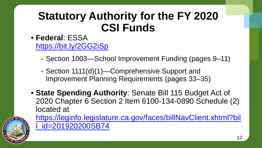#### **Statutory Authority for the FY 2020 CSI Funds**

- **Federal**: ESSA [https://bit.ly/2GG2iSp](https://www2.ed.gov/documents/essa-act-of-1965.pdf)
	- Section 1003—School Improvement Funding (pages 9–11)
	- Section 1111(d)(1)—Comprehensive Support and Improvement Planning Requirements (pages 33–35)
- **State Spending Authority**: Senate Bill 115 Budget Act of 2020 Chapter 6 Section 2 Item 6100-134-0890 Schedule (2) located at



[https://leginfo.legislature.ca.gov/faces/billNavClient.xhtml?bil](https://leginfo.legislature.ca.gov/faces/billNavClient.xhtml?bill_id=201920200SB74) l\_id=201920200SB74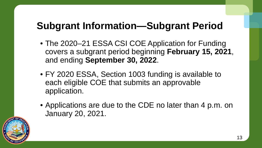#### **Subgrant Information—Subgrant Period**

- The 2020–21 ESSA CSI COE Application for Funding covers a subgrant period beginning **February 15, 2021**, and ending **September 30, 2022**.
- FY 2020 ESSA, Section 1003 funding is available to each eligible COE that submits an approvable application.
- Applications are due to the CDE no later than 4 p.m. on January 20, 2021.

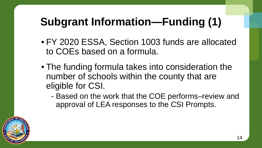### **Subgrant Information—Funding (1)**

- FY 2020 ESSA, Section 1003 funds are allocated to COEs based on a formula.
- The funding formula takes into consideration the number of schools within the county that are eligible for CSI.

- Based on the work that the COE performs–review and approval of LEA responses to the CSI Prompts.

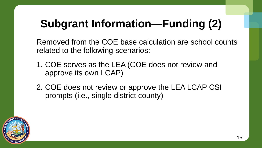## **Subgrant Information—Funding (2)**

Removed from the COE base calculation are school counts related to the following scenarios:

- 1. COE serves as the LEA (COE does not review and approve its own LCAP)
- 2. COE does not review or approve the LEA LCAP CSI prompts (i.e., single district county)

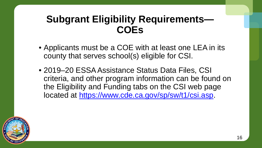#### **Subgrant Eligibility Requirements— COEs**

- Applicants must be a COE with at least one LEA in its county that serves school(s) eligible for CSI.
- 2019–20 ESSAAssistance Status Data Files, CSI criteria, and other program information can be found on the Eligibility and Funding tabs on the CSI web page located at<https://www.cde.ca.gov/sp/sw/t1/csi.asp>.

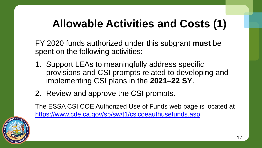#### **Allowable Activities and Costs (1)**

FY 2020 funds authorized under this subgrant **must** be spent on the following activities:

- 1. Support LEAs to meaningfully address specific provisions and CSI prompts related to developing and implementing CSI plans in the **2021–22 SY**.
- 2. Review and approve the CSI prompts.

The ESSA CSI COE Authorized Use of Funds web page is located at <https://www.cde.ca.gov/sp/sw/t1/csicoeauthusefunds.asp>

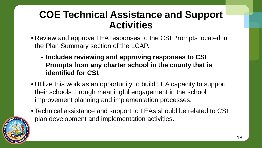#### **COE Technical Assistance and Support Activities**

- Review and approve LEA responses to the CSI Prompts located in the Plan Summary section of the LCAP.
	- **Includes reviewing and approving responses to CSI Prompts from any charter school in the county that is identified for CSI.**
- Utilize this work as an opportunity to build LEA capacity to support their schools through meaningful engagement in the school improvement planning and implementation processes.



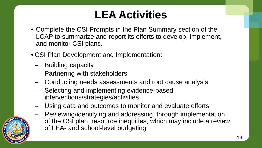### **LEA Activities**

- Complete the CSI Prompts in the Plan Summary section of the LCAP to summarize and report its efforts to develop, implement, and monitor CSI plans.
- CSI Plan Development and Implementation:
	- Building capacity
	- ‒ Partnering with stakeholders
	- ‒ Conducting needs assessments and root cause analysis
	- Selecting and implementing evidence-based interventions/strategies/activities
	- Using data and outcomes to monitor and evaluate efforts
	- ‒ Reviewing/identifying and addressing, through implementation of the CSI plan, resource inequities, which may include a review of LEA- and school-level budgeting

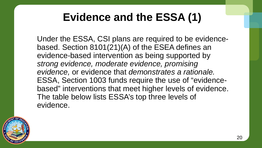### **Evidence and the ESSA (1)**

Under the ESSA, CSI plans are required to be evidencebased. Section 8101(21)(A) of the ESEA defines an evidence-based intervention as being supported by *strong evidence, moderate evidence, promising evidence,* or evidence that *demonstrates a rationale.*  ESSA, Section 1003 funds require the use of "evidencebased" interventions that meet higher levels of evidence. The table below lists ESSA's top three levels of evidence.

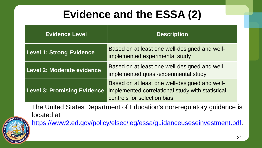### **Evidence and the ESSA (2)**

| <b>Evidence Level</b>              | <b>Description</b>                                                                                                               |
|------------------------------------|----------------------------------------------------------------------------------------------------------------------------------|
| <b>Level 1: Strong Evidence</b>    | Based on at least one well-designed and well-<br>implemented experimental study                                                  |
| Level 2: Moderate evidence         | Based on at least one well-designed and well-<br>implemented quasi-experimental study                                            |
| <b>Level 3: Promising Evidence</b> | Based on at least one well-designed and well-<br>implemented correlational study with statistical<br>controls for selection bias |

The United States Department of Education's non-regulatory guidance is located at



[https://www2.ed.gov/policy/elsec/leg/essa/guidanceuseseinvestment.pdf.](https://www2.ed.gov/policy/elsec/leg/essa/guidanceuseseinvestment.pdf)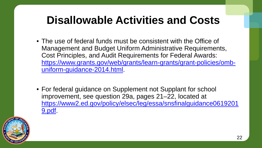### **Disallowable Activities and Costs**

- The use of federal funds must be consistent with the Office of Management and Budget Uniform Administrative Requirements, Cost Principles, and Audit Requirements for Federal Awards: [https://www.grants.gov/web/grants/learn-grants/grant-policies/omb](https://www.grants.gov/web/grants/learn-grants/grant-policies/omb-uniform-guidance-2014.html)uniform-guidance-2014.html.
- For federal guidance on Supplement not Supplant for school improvement, see question 29a, pages 21–22, located at [https://www2.ed.gov/policy/elsec/leg/essa/snsfinalguidance0619201](https://www2.ed.gov/policy/elsec/leg/essa/snsfinalguidance06192019.pdf) 9.pdf.

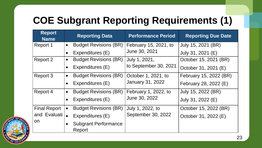#### **COE Subgrant Reporting Requirements (1)**

| <b>Report</b><br><b>Name</b> | <b>Reporting Data</b>                     | <b>Performance Period</b> | <b>Reporting Due Date</b> |
|------------------------------|-------------------------------------------|---------------------------|---------------------------|
| Report 1                     | <b>Budget Revisions (BR)</b><br>$\bullet$ | February 15, 2021, to     | July 15, 2021 (BR)        |
|                              | Expenditures (E)                          | June 30, 2021             | July 31, 2021 (E)         |
| Report 2                     | <b>Budget Revisions (BR)</b><br>$\bullet$ | July 1, 2021,             | October 15, 2021 (BR)     |
|                              | Expenditures (E)                          | to September 30, 2021     | October 31, 2021 (E)      |
| Report 3                     | <b>Budget Revisions (BR)</b><br>$\bullet$ | October 1, 2021, to       | February 15, 2022 (BR)    |
|                              | Expenditures (E)                          | <b>January 31, 2022</b>   | February 28, 2022 (E)     |
| Report 4                     | <b>Budget Revisions (BR)</b><br>$\bullet$ | February 1, 2022, to      | July 15, 2022 (BR)        |
|                              | Expenditures (E)                          | June 30, 2022             | July 31, 2022 (E)         |
| <b>Final Report</b>          | <b>Budget Revisions (BR)</b><br>$\bullet$ | July 1, 2022, to          | October 15, 2022 (BR)     |
| and Evaluati                 | Expenditures (E)                          | September 30, 2022        | October 31, 2022 (E)      |
| on                           | <b>Subgrant Performance</b><br>Report     |                           |                           |

**ENT OF** 

**A**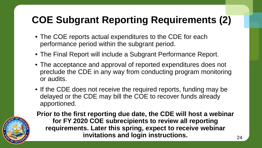#### **COE Subgrant Reporting Requirements (2)**

- The COE reports actual expenditures to the CDE for each performance period within the subgrant period.
- The Final Report will include a Subgrant Performance Report.
- The acceptance and approval of reported expenditures does not preclude the CDE in any way from conducting program monitoring or audits.
- If the CDE does not receive the required reports, funding may be delayed or the CDE may bill the COE to recover funds already apportioned.



**Prior to the first reporting due date, the CDE will host a webinar for FY 2020 COE subrecipients to review all reporting requirements. Later this spring, expect to receive webinar invitations and login instructions.** 24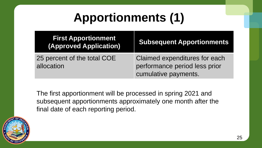# **Apportionments (1)**

| <b>First Apportionment</b><br><b>(Approved Application)</b> | <b>Subsequent Apportionments</b>                                                       |  |
|-------------------------------------------------------------|----------------------------------------------------------------------------------------|--|
| 25 percent of the total COE<br>allocation                   | Claimed expenditures for each<br>performance period less prior<br>cumulative payments. |  |

The first apportionment will be processed in spring 2021 and subsequent apportionments approximately one month after the final date of each reporting period.

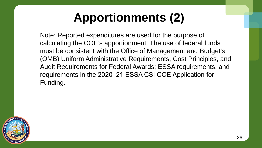# **Apportionments (2)**

Note: Reported expenditures are used for the purpose of calculating the COE's apportionment. The use of federal funds must be consistent with the Office of Management and Budget's (OMB) Uniform Administrative Requirements, Cost Principles, and Audit Requirements for Federal Awards; ESSA requirements, and requirements in the 2020-21 ESSA CSI COE Application for Funding.

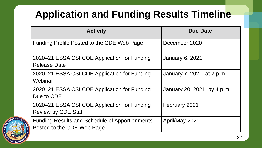#### **Application and Funding Results Timeline**

| <b>Activity</b>                                                                     | <b>Due Date</b>             |
|-------------------------------------------------------------------------------------|-----------------------------|
| Funding Profile Posted to the CDE Web Page                                          | December 2020               |
| 2020–21 ESSA CSI COE Application for Funding<br><b>Release Date</b>                 | <b>January 6, 2021</b>      |
| 2020-21 ESSA CSI COE Application for Funding<br>Webinar                             | January 7, 2021, at 2 p.m.  |
| 2020–21 ESSA CSI COE Application for Funding<br>Due to CDE                          | January 20, 2021, by 4 p.m. |
| 2020–21 ESSA CSI COE Application for Funding<br><b>Review by CDE Staff</b>          | February 2021               |
| <b>Funding Results and Schedule of Apportionments</b><br>Posted to the CDE Web Page | April/May 2021              |

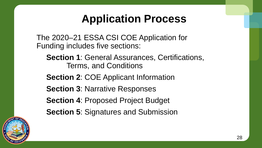#### **Application Process**

The 2020–21 ESSA CSI COE Application for Funding includes five sections:

**Section 1**: General Assurances, Certifications, Terms, and Conditions

**Section 2**: COE Applicant Information

**Section 3**: Narrative Responses

**Section 4**: Proposed Project Budget

**Section 5**: Signatures and Submission

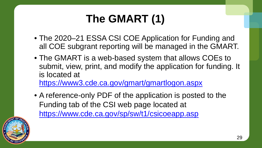# **The GMART (1)**

- The 2020–21 ESSA CSI COE Application for Funding and all COE subgrant reporting will be managed in the GMART.
- The GMART is a web-based system that allows COEs to submit, view, print, and modify the application for funding. It is located at

<https://www3.cde.ca.gov/gmart/gmartlogon.aspx>

• A reference-only PDF of the application is posted to the Funding tab of the CSI web page located at <https://www.cde.ca.gov/sp/sw/t1/csicoeapp.asp>

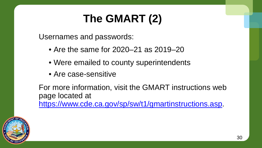### **The GMART (2)**

Usernames and passwords:

- Are the same for 2020–21 as 2019–20
- Were emailed to county superintendents
- Are case-sensitive

For more information, visit the GMART instructions web page located at <https://www.cde.ca.gov/sp/sw/t1/gmartinstructions.asp>.

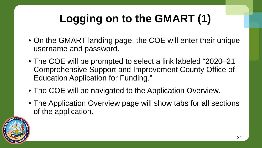# **Logging on to the GMART (1)**

- On the GMART landing page, the COE will enter their unique username and password.
- The COE will be prompted to select a link labeled "2020–21 Comprehensive Support and Improvement County Office of Education Application for Funding."
- The COE will be navigated to the Application Overview.
- The Application Overview page will show tabs for all sections of the application.

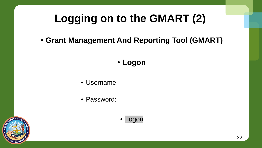# **Logging on to the GMART (2)**

- **Grant Management And Reporting Tool (GMART)**
	- **Logon**
	- Username:
	- Password:



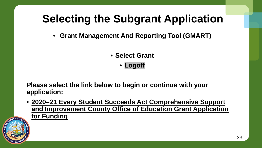# **Selecting the Subgrant Application**

- **Grant Management And Reporting Tool (GMART)**
	- **Select Grant**

• **Logoff**

**Please select the link below to begin or continue with your application:**

• **2020–21 Every Student Succeeds Act Comprehensive Support and Improvement County Office of Education Grant Application for Funding**

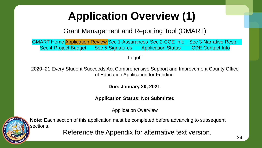### **Application Overview (1)**

Grant Management and Reporting Tool (GMART)

GMART Home Application Review Sec 1-Assurances Sec 2-COE Info Sec 3-Narrative Resp. Sec 4-Project Budget Sec 5-Signatures Application Status CDE Contact Info

#### Logoff

2020–21 Every Student Succeeds Act Comprehensive Support and Improvement County Office of Education Application for Funding

**Due: January 20, 2021**

#### **Application Status: Not Submitted**

Application Overview



**Note:** Each section of this application must be completed before advancing to subsequent sections.

Reference the Appendix for alternative text version.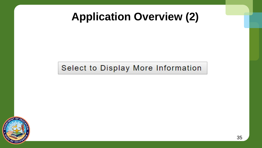#### **Application Overview (2)**

#### Select to Display More Information

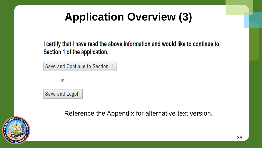# **Application Overview (3)**

I certify that I have read the above information and would like to continue to Section 1 of the application.

Save and Continue to Section 1

or

Save and Logoff

Reference the Appendix for alternative text version.

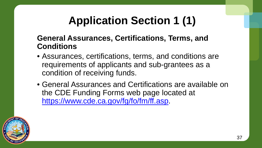# **Application Section 1 (1)**

#### **General Assurances, Certifications, Terms, and Conditions**

- Assurances, certifications, terms, and conditions are requirements of applicants and sub-grantees as a condition of receiving funds.
- General Assurances and Certifications are available on the CDE Funding Forms web page located at <https://www.cde.ca.gov/fg/fo/fm/ff.asp>.

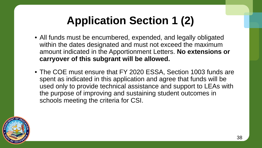# **Application Section 1 (2)**

- All funds must be encumbered, expended, and legally obligated within the dates designated and must not exceed the maximum amount indicated in the Apportionment Letters. **No extensions or carryover of this subgrant will be allowed.**
- The COE must ensure that FY 2020 ESSA, Section 1003 funds are spent as indicated in this application and agree that funds will be used only to provide technical assistance and support to LEAs with the purpose of improving and sustaining student outcomes in schools meeting the criteria for CSI.

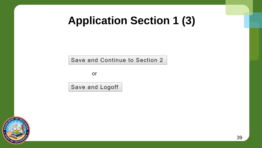#### **Application Section 1 (3)**

Save and Continue to Section 2

or

Save and Logoff

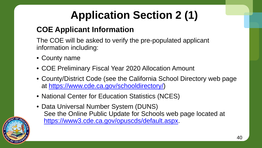# **Application Section 2 (1)**

#### **COE Applicant Information**

The COE will be asked to verify the pre-populated applicant information including:

- County name
- COE Preliminary Fiscal Year 2020 Allocation Amount
- County/District Code (see the California School Directory web page at [https://www.cde.ca.gov/schooldirectory/\)](https://www.cde.ca.gov/schooldirectory/)
- National Center for Education Statistics (NCES)
- Data Universal Number System (DUNS) See the Online Public Update for Schools web page located at [https://www3.cde.ca.gov/opuscds/default.aspx.](https://www3.cde.ca.gov/opuscds/default.aspx)

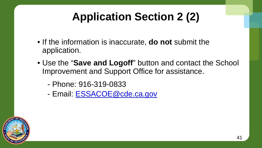# **Application Section 2 (2)**

- If the information is inaccurate, **do not** submit the application.
- Use the "**Save and Logoff**" button and contact the School Improvement and Support Office for assistance.
	- Phone: 916-319-0833
	- Email: **ESSACOE@cde.ca.gov**

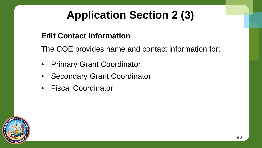# **Application Section 2 (3)**

#### **Edit Contact Information**

The COE provides name and contact information for:

- Primary Grant Coordinator
- **Secondary Grant Coordinator**
- Fiscal Coordinator

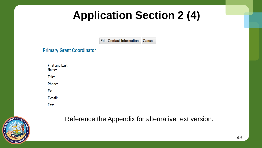#### **Application Section 2 (4)**

**Edit Contact Information** Cancel

#### **Primary Grant Coordinator**

| <b>First and Last</b><br>Name: |
|--------------------------------|
| Title:                         |
| Phone:                         |
| Ext:                           |
| E-mail:                        |
| Fax:                           |



Reference the Appendix for alternative text version.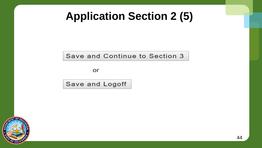#### **Application Section 2 (5)**

Save and Continue to Section 3

оr

Save and Logoff

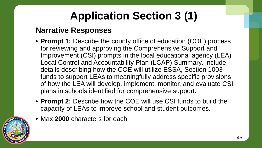# **Application Section 3 (1)**

#### **Narrative Responses**

- **Prompt 1:** Describe the county office of education (COE) process for reviewing and approving the Comprehensive Support and Improvement (CSI) prompts in the local educational agency (LEA) Local Control and Accountability Plan (LCAP) Summary. Include details describing how the COE will utilize ESSA, Section 1003 funds to support LEAs to meaningfully address specific provisions of how the LEA will develop, implement, monitor, and evaluate CSI plans in schools identified for comprehensive support.
- **Prompt 2:** Describe how the COE will use CSI funds to build the capacity of LEAs to improve school and student outcomes.
- Max **2000** characters for each

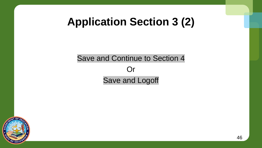#### **Application Section 3 (2)**

#### Save and Continue to Section 4 Or Save and Logoff

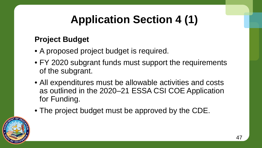# **Application Section 4 (1)**

#### **Project Budget**

- A proposed project budget is required.
- FY 2020 subgrant funds must support the requirements of the subgrant.
- All expenditures must be allowable activities and costs as outlined in the 2020–21 ESSA CSI COE Application for Funding.
- The project budget must be approved by the CDE.

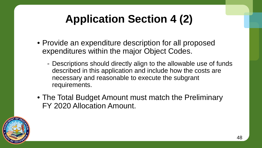# **Application Section 4 (2)**

- Provide an expenditure description for all proposed expenditures within the major Object Codes.
	- Descriptions should directly align to the allowable use of funds described in this application and include how the costs are necessary and reasonable to execute the subgrant requirements.
- The Total Budget Amount must match the Preliminary FY 2020 Allocation Amount.

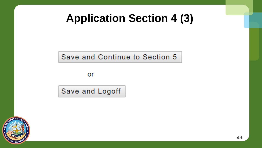#### **Application Section 4 (3)**

Save and Continue to Section 5

or

Save and Logoff

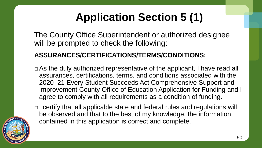# **Application Section 5 (1)**

The County Office Superintendent or authorized designee will be prompted to check the following:

#### **ASSURANCES/CERTIFICATIONS/TERMS/CONDITIONS:**

 $\Box$  As the duly authorized representative of the applicant, I have read all assurances, certifications, terms, and conditions associated with the 2020–21 Every Student Succeeds Act Comprehensive Support and Improvement County Office of Education Application for Funding and I agree to comply with all requirements as a condition of funding.



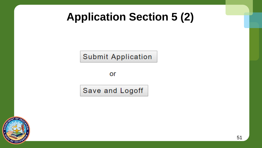#### **Application Section 5 (2)**

**Submit Application** 

or

Save and Logoff

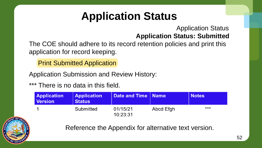### **Application Status**

#### Application Status **Application Status: Submitted**

The COE should adhere to its record retention policies and print this application for record keeping.

Print Submitted Application

Application Submission and Review History:

\*\*\* There is no data in this field.

| <b>Application</b><br><b>Version</b> | <b>Application</b><br><b>Status</b> | Date and Time   Name |           | <b>Notes</b> |
|--------------------------------------|-------------------------------------|----------------------|-----------|--------------|
|                                      | Submitted                           | 01/15/21<br>10:23:31 | Abcd Efgh | ***          |

Reference the Appendix for alternative text version.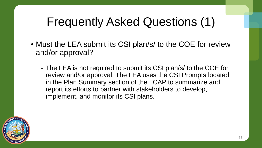# Frequently Asked Questions (1)

- Must the LEA submit its CSI plan/s/ to the COE for review and/or approval?
	- The LEA is not required to submit its CSI plan/s/ to the COE for review and/or approval. The LEA uses the CSI Prompts located in the Plan Summary section of the LCAP to summarize and report its efforts to partner with stakeholders to develop, implement, and monitor its CSI plans.

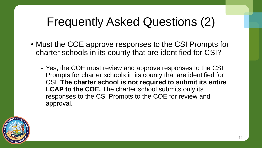# Frequently Asked Questions (2)

- Must the COE approve responses to the CSI Prompts for charter schools in its county that are identified for CSI?
	- Yes, the COE must review and approve responses to the CSI Prompts for charter schools in its county that are identified for CSI. **The charter school is not required to submit its entire LCAP to the COE.** The charter school submits only its responses to the CSI Prompts to the COE for review and approval.

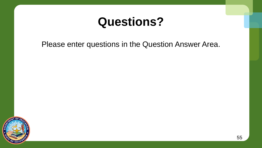### **Questions?**

Please enter questions in the Question Answer Area.

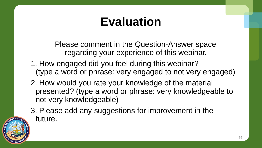# **Evaluation**

Please comment in the Question-Answer space regarding your experience of this webinar.

- 1. How engaged did you feel during this webinar? (type a word or phrase: very engaged to not very engaged)
- 2. How would you rate your knowledge of the material presented? (type a word or phrase: very knowledgeable to not very knowledgeable)

3. Please add any suggestions for improvement in the future.

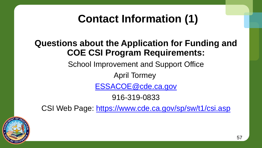### **Contact Information (1)**

#### **Questions about the Application for Funding and COE CSI Program Requirements:**

School Improvement and Support Office

April Tormey

[ESSACOE@cde.ca.gov](mailto:ESSACOE@cde.ca.gov)

916-319-0833

CSI Web Page:<https://www.cde.ca.gov/sp/sw/t1/csi.asp>

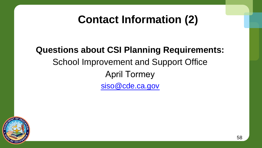### **Contact Information (2)**

#### **Questions about CSI Planning Requirements:** School Improvement and Support Office April Tormey [siso@cde.ca.gov](mailto:siso@cde.ca.gov)

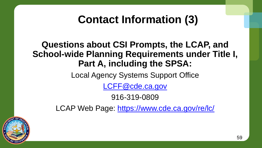### **Contact Information (3)**

#### **Questions about CSI Prompts, the LCAP, and School-wide Planning Requirements under Title I, Part A, including the SPSA:**

Local Agency Systems Support Office

[LCFF@](mailto:LCFF@cde.ca.gov)[cde.ca.gov](mailto:LASSO@cde.ca.gov)

#### 916-319-0809

LCAP Web Page: <https://www.cde.ca.gov/re/lc/>

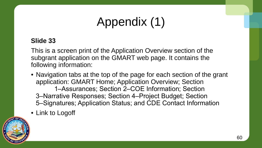# Appendix (1)

#### **Slide 33**

This is a screen print of the Application Overview section of the subgrant application on the GMART web page. It contains the following information:

- Navigation tabs at the top of the page for each section of the grant application: GMART Home; Application Overview; Section 1–Assurances; Section 2–COE Information; Section 3‒Narrative Responses; Section 4‒Project Budget; Section 5–Signatures; Application Status; and CDE Contact Information
- Link to Logoff

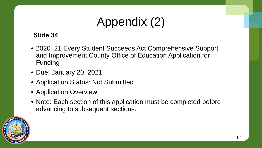# Appendix (2)

#### **Slide 34**

- 2020–21 Every Student Succeeds Act Comprehensive Support and Improvement County Office of Education Application for Funding
- Due: January 20, 2021
- Application Status: Not Submitted
- Application Overview
- Note: Each section of this application must be completed before advancing to subsequent sections.

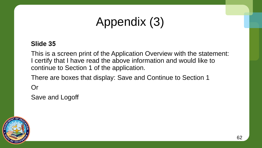# Appendix (3)

#### **Slide 35**

This is a screen print of the Application Overview with the statement: I certify that I have read the above information and would like to continue to Section 1 of the application.

There are boxes that display: Save and Continue to Section 1

Or

Save and Logoff

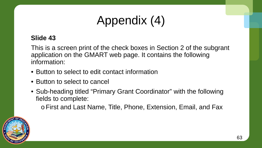# Appendix (4)

#### **Slide 43**

This is a screen print of the check boxes in Section 2 of the subgrant application on the GMART web page. It contains the following information:

- Button to select to edit contact information
- Button to select to cancel
- Sub-heading titled "Primary Grant Coordinator" with the following fields to complete:

oFirst and Last Name, Title, Phone, Extension, Email, and Fax